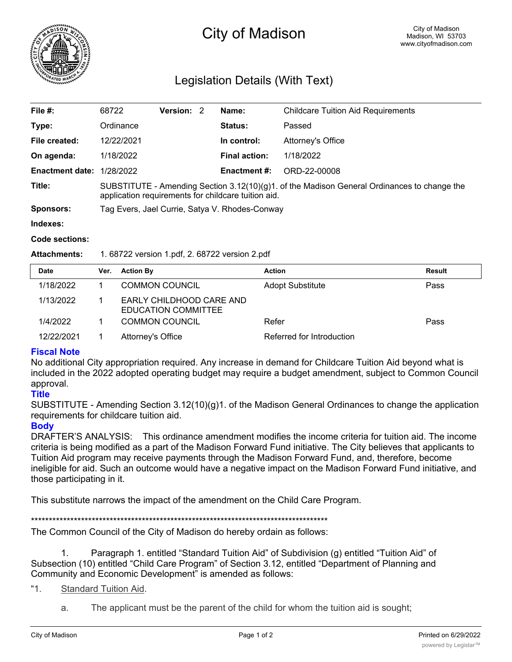

# City of Madison

# Legislation Details (With Text)

| File #:                | 68722                                                                                                                                                 | <b>Version: 2</b> |  | Name:                | <b>Childcare Tuition Aid Requirements</b> |  |
|------------------------|-------------------------------------------------------------------------------------------------------------------------------------------------------|-------------------|--|----------------------|-------------------------------------------|--|
| Type:                  | Ordinance                                                                                                                                             |                   |  | <b>Status:</b>       | Passed                                    |  |
| File created:          | 12/22/2021                                                                                                                                            |                   |  | In control:          | Attorney's Office                         |  |
| On agenda:             | 1/18/2022                                                                                                                                             |                   |  | <b>Final action:</b> | 1/18/2022                                 |  |
| <b>Enactment date:</b> | 1/28/2022                                                                                                                                             |                   |  | <b>Enactment #:</b>  | ORD-22-00008                              |  |
| Title:                 | SUBSTITUTE - Amending Section $3.12(10)(g)1$ . of the Madison General Ordinances to change the<br>application requirements for childcare tuition aid. |                   |  |                      |                                           |  |
| Sponsors:              | Tag Evers, Jael Currie, Satya V. Rhodes-Conway                                                                                                        |                   |  |                      |                                           |  |
| Indexes:               |                                                                                                                                                       |                   |  |                      |                                           |  |

# **Code sections:**

#### **Attachments:** 1. 68722 version 1.pdf, 2. 68722 version 2.pdf

| <b>Date</b> | Ver. | <b>Action By</b>                                | <b>Action</b>             | <b>Result</b> |
|-------------|------|-------------------------------------------------|---------------------------|---------------|
| 1/18/2022   |      | <b>COMMON COUNCIL</b>                           | <b>Adopt Substitute</b>   | Pass          |
| 1/13/2022   |      | EARLY CHILDHOOD CARE AND<br>EDUCATION COMMITTEE |                           |               |
| 1/4/2022    |      | <b>COMMON COUNCIL</b>                           | Refer                     | Pass          |
| 12/22/2021  |      | Attorney's Office                               | Referred for Introduction |               |

## **Fiscal Note**

No additional City appropriation required. Any increase in demand for Childcare Tuition Aid beyond what is included in the 2022 adopted operating budget may require a budget amendment, subject to Common Council approval.

## **Title**

SUBSTITUTE - Amending Section 3.12(10)(g)1. of the Madison General Ordinances to change the application requirements for childcare tuition aid.

### **Body**

DRAFTER'S ANALYSIS: This ordinance amendment modifies the income criteria for tuition aid. The income criteria is being modified as a part of the Madison Forward Fund initiative. The City believes that applicants to Tuition Aid program may receive payments through the Madison Forward Fund, and, therefore, become ineligible for aid. Such an outcome would have a negative impact on the Madison Forward Fund initiative, and those participating in it.

This substitute narrows the impact of the amendment on the Child Care Program.

\*\*\*\*\*\*\*\*\*\*\*\*\*\*\*\*\*\*\*\*\*\*\*\*\*\*\*\*\*\*\*\*\*\*\*\*\*\*\*\*\*\*\*\*\*\*\*\*\*\*\*\*\*\*\*\*\*\*\*\*\*\*\*\*\*\*\*\*\*\*\*\*\*\*\*\*\*\*\*\*\*\*\*

The Common Council of the City of Madison do hereby ordain as follows:

1. Paragraph 1. entitled "Standard Tuition Aid" of Subdivision (g) entitled "Tuition Aid" of Subsection (10) entitled "Child Care Program" of Section 3.12, entitled "Department of Planning and Community and Economic Development" is amended as follows:

"1. Standard Tuition Aid.

a. The applicant must be the parent of the child for whom the tuition aid is sought;